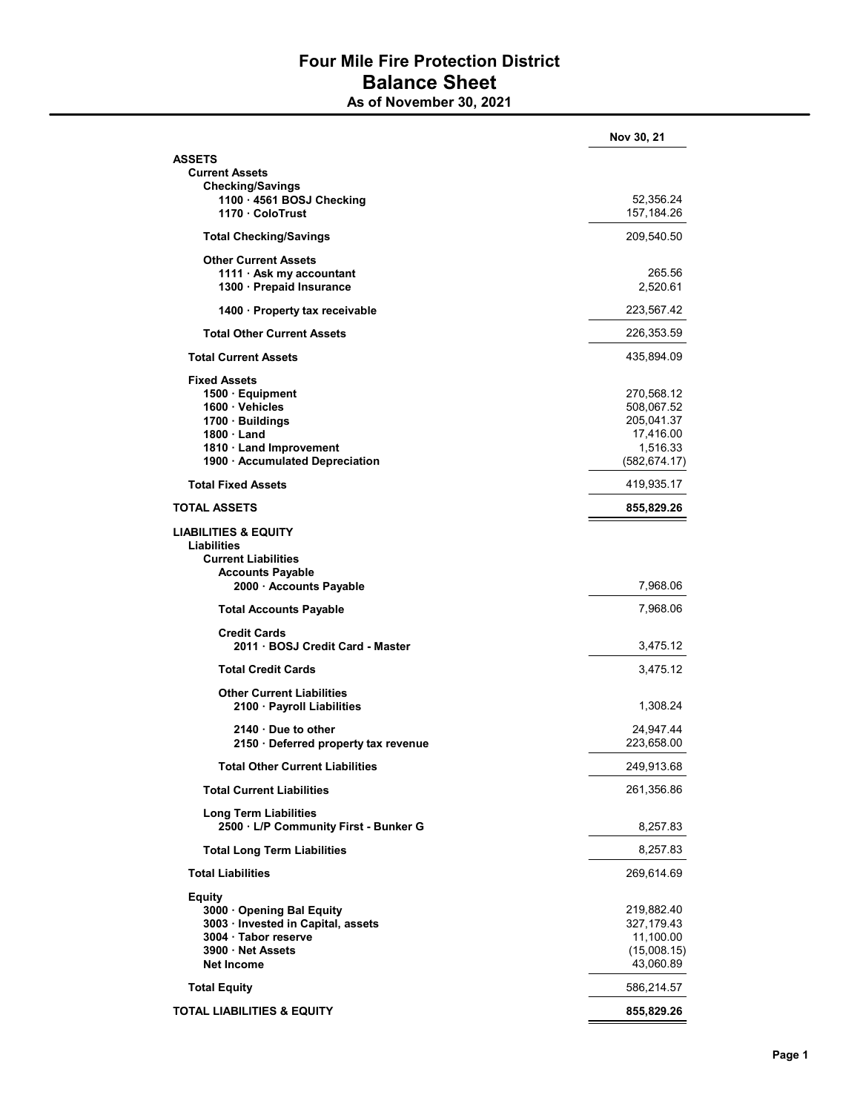## Four Mile Fire Protection District Balance Sheet

As of November 30, 2021

|                                                       | Nov 30, 21                |
|-------------------------------------------------------|---------------------------|
| ASSETS                                                |                           |
| <b>Current Assets</b>                                 |                           |
| <b>Checking/Savings</b>                               |                           |
| 1100 - 4561 BOSJ Checking<br>1170 ColoTrust           | 52,356.24<br>157, 184. 26 |
| <b>Total Checking/Savings</b>                         | 209,540.50                |
| <b>Other Current Assets</b>                           |                           |
| 1111 $\cdot$ Ask my accountant                        | 265.56                    |
| 1300 · Prepaid Insurance                              | 2,520.61                  |
| 1400 Property tax receivable                          | 223,567.42                |
| <b>Total Other Current Assets</b>                     | 226,353.59                |
| <b>Total Current Assets</b>                           | 435,894.09                |
| <b>Fixed Assets</b>                                   |                           |
| 1500 · Equipment                                      | 270,568.12                |
| 1600 · Vehicles                                       | 508,067.52                |
| 1700 · Buildings                                      | 205,041.37                |
| 1800 Land                                             | 17,416.00                 |
| 1810 Land Improvement                                 | 1,516.33                  |
| 1900 · Accumulated Depreciation                       | (582, 674.17)             |
| <b>Total Fixed Assets</b>                             | 419,935.17                |
| <b>TOTAL ASSETS</b>                                   | 855,829.26                |
| <b>LIABILITIES &amp; EQUITY</b><br><b>Liabilities</b> |                           |
|                                                       |                           |
| <b>Current Liabilities</b>                            |                           |
| <b>Accounts Payable</b><br>2000 · Accounts Payable    | 7,968.06                  |
| <b>Total Accounts Payable</b>                         | 7,968.06                  |
| <b>Credit Cards</b>                                   |                           |
| 2011 · BOSJ Credit Card - Master                      | 3,475.12                  |
| <b>Total Credit Cards</b>                             | 3,475.12                  |
| <b>Other Current Liabilities</b>                      |                           |
| 2100 · Payroll Liabilities                            | 1,308.24                  |
| $2140 \cdot$ Due to other                             | 24,947.44                 |
| 2150 · Deferred property tax revenue                  | 223,658.00                |
| <b>Total Other Current Liabilities</b>                | 249,913.68                |
| <b>Total Current Liabilities</b>                      | 261,356.86                |
| <b>Long Term Liabilities</b>                          |                           |
| 2500 · L/P Community First - Bunker G                 | 8,257.83                  |
| <b>Total Long Term Liabilities</b>                    | 8,257.83                  |
| <b>Total Liabilities</b>                              | 269,614.69                |
| <b>Equity</b><br>3000 Opening Bal Equity              | 219,882.40                |
| 3003 · Invested in Capital, assets                    | 327,179.43                |
| 3004 · Tabor reserve                                  | 11,100.00                 |
| 3900 Net Assets                                       | (15,008.15)               |
| <b>Net Income</b>                                     | 43,060.89                 |
| <b>Total Equity</b>                                   | 586,214.57                |
| <b>TOTAL LIABILITIES &amp; EQUITY</b>                 | 855,829.26                |
|                                                       |                           |